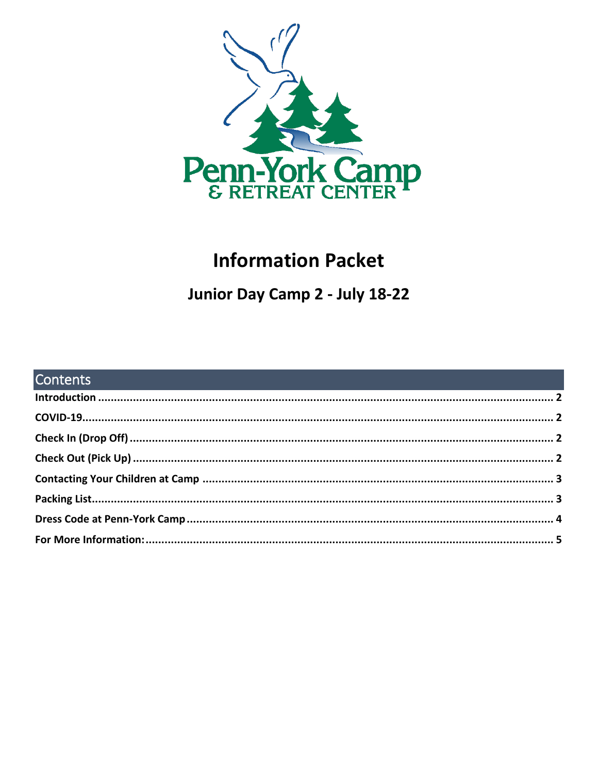

# **Information Packet**

# Junior Day Camp 2 - July 18-22

| <b>Contents Contents Contents Contents and Contents of Contents and Contents and Contents of Contents of Contents</b> |  |
|-----------------------------------------------------------------------------------------------------------------------|--|
|                                                                                                                       |  |
|                                                                                                                       |  |
|                                                                                                                       |  |
|                                                                                                                       |  |
|                                                                                                                       |  |
|                                                                                                                       |  |
|                                                                                                                       |  |
|                                                                                                                       |  |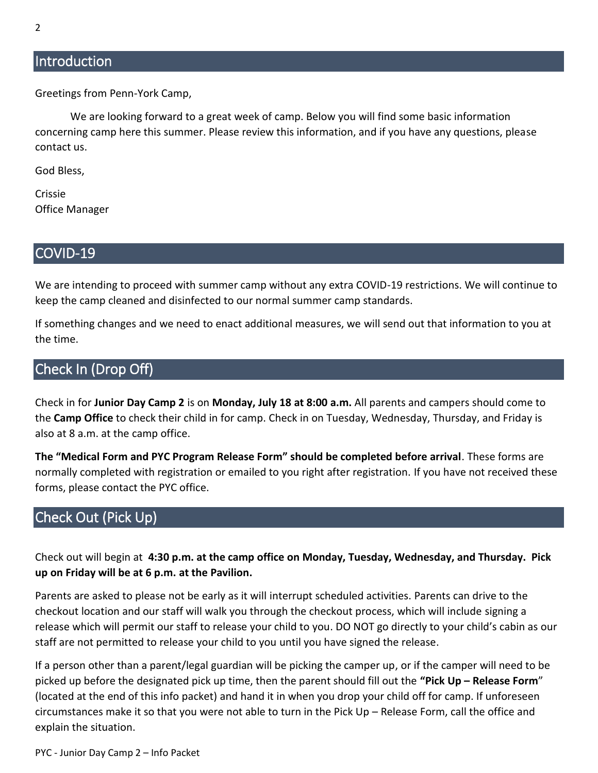## <span id="page-1-0"></span>**Introduction**

Greetings from Penn-York Camp,

We are looking forward to a great week of camp. Below you will find some basic information concerning camp here this summer. Please review this information, and if you have any questions, please contact us.

God Bless,

Crissie Office Manager

#### <span id="page-1-1"></span>COVID-19

We are intending to proceed with summer camp without any extra COVID-19 restrictions. We will continue to keep the camp cleaned and disinfected to our normal summer camp standards.

If something changes and we need to enact additional measures, we will send out that information to you at the time.

## <span id="page-1-2"></span>Check In (Drop Off)

Check in for **Junior Day Camp 2** is on **Monday, July 18 at 8:00 a.m.** All parents and campers should come to the **Camp Office** to check their child in for camp. Check in on Tuesday, Wednesday, Thursday, and Friday is also at 8 a.m. at the camp office.

**The "Medical Form and PYC Program Release Form" should be completed before arrival**. These forms are normally completed with registration or emailed to you right after registration. If you have not received these forms, please contact the PYC office.

## <span id="page-1-3"></span>Check Out (Pick Up)

Check out will begin at **4:30 p.m. at the camp office on Monday, Tuesday, Wednesday, and Thursday. Pick up on Friday will be at 6 p.m. at the Pavilion.**

Parents are asked to please not be early as it will interrupt scheduled activities. Parents can drive to the checkout location and our staff will walk you through the checkout process, which will include signing a release which will permit our staff to release your child to you. DO NOT go directly to your child's cabin as our staff are not permitted to release your child to you until you have signed the release.

If a person other than a parent/legal guardian will be picking the camper up, or if the camper will need to be picked up before the designated pick up time, then the parent should fill out the **"Pick Up – Release Form**" (located at the end of this info packet) and hand it in when you drop your child off for camp. If unforeseen circumstances make it so that you were not able to turn in the Pick Up – Release Form, call the office and explain the situation.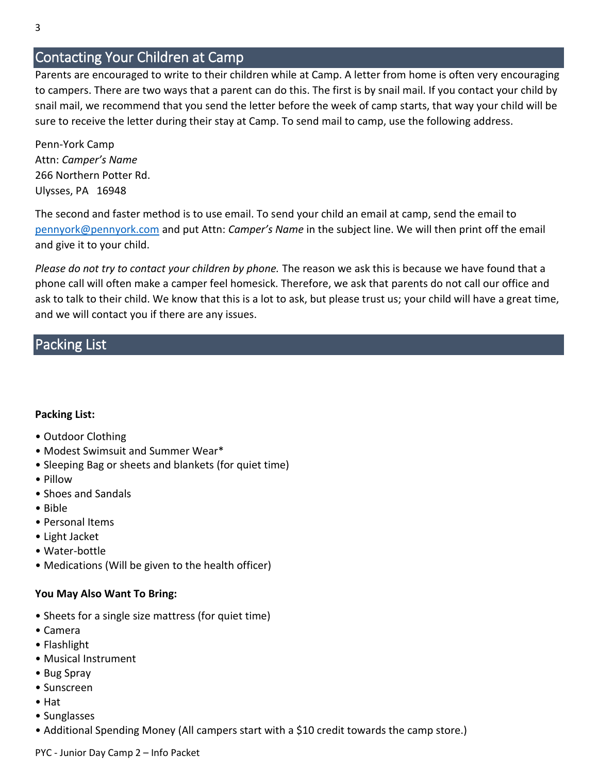## <span id="page-2-0"></span>Contacting Your Children at Camp

Parents are encouraged to write to their children while at Camp. A letter from home is often very encouraging to campers. There are two ways that a parent can do this. The first is by snail mail. If you contact your child by snail mail, we recommend that you send the letter before the week of camp starts, that way your child will be sure to receive the letter during their stay at Camp. To send mail to camp, use the following address.

Penn-York Camp Attn: *Camper's Name* 266 Northern Potter Rd. Ulysses, PA 16948

The second and faster method is to use email. To send your child an email at camp, send the email to [pennyork@pennyork.com](mailto:pennyork@pennyork.com) and put Attn: *Camper's Name* in the subject line. We will then print off the email and give it to your child.

*Please do not try to contact your children by phone.* The reason we ask this is because we have found that a phone call will often make a camper feel homesick. Therefore, we ask that parents do not call our office and ask to talk to their child. We know that this is a lot to ask, but please trust us; your child will have a great time, and we will contact you if there are any issues.

## <span id="page-2-1"></span>Packing List

#### **Packing List:**

- Outdoor Clothing
- Modest Swimsuit and Summer Wear\*
- Sleeping Bag or sheets and blankets (for quiet time)
- Pillow
- Shoes and Sandals
- Bible
- Personal Items
- Light Jacket
- Water-bottle
- Medications (Will be given to the health officer)

#### **You May Also Want To Bring:**

- Sheets for a single size mattress (for quiet time)
- Camera
- Flashlight
- Musical Instrument
- Bug Spray
- Sunscreen
- Hat
- Sunglasses
- Additional Spending Money (All campers start with a \$10 credit towards the camp store.)

PYC - Junior Day Camp 2 – Info Packet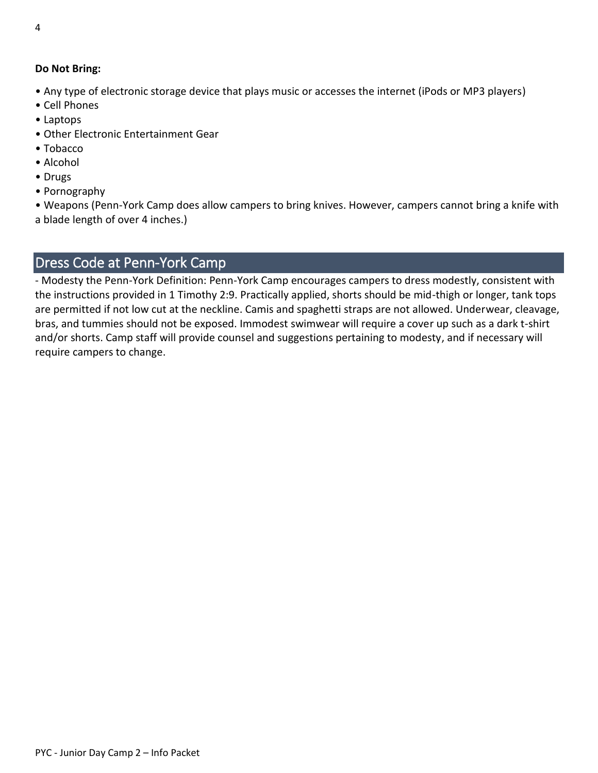#### **Do Not Bring:**

- Any type of electronic storage device that plays music or accesses the internet (iPods or MP3 players)
- Cell Phones
- Laptops
- Other Electronic Entertainment Gear
- Tobacco
- Alcohol
- Drugs
- Pornography

• Weapons (Penn-York Camp does allow campers to bring knives. However, campers cannot bring a knife with a blade length of over 4 inches.)

# <span id="page-3-0"></span>Dress Code at Penn-York Camp

- Modesty the Penn-York Definition: Penn-York Camp encourages campers to dress modestly, consistent with the instructions provided in 1 Timothy 2:9. Practically applied, shorts should be mid-thigh or longer, tank tops are permitted if not low cut at the neckline. Camis and spaghetti straps are not allowed. Underwear, cleavage, bras, and tummies should not be exposed. Immodest swimwear will require a cover up such as a dark t-shirt and/or shorts. Camp staff will provide counsel and suggestions pertaining to modesty, and if necessary will require campers to change.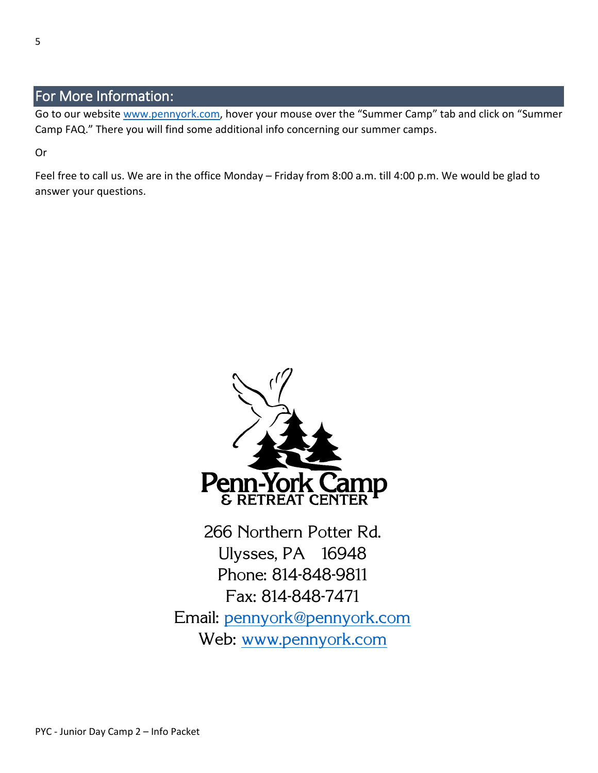## <span id="page-4-0"></span>For More Information:

Go to our website [www.pennyork.com,](http://www.pennyork.com/) hover your mouse over the "Summer Camp" tab and click on "Summer Camp FAQ." There you will find some additional info concerning our summer camps.

Or

Feel free to call us. We are in the office Monday – Friday from 8:00 a.m. till 4:00 p.m. We would be glad to answer your questions.